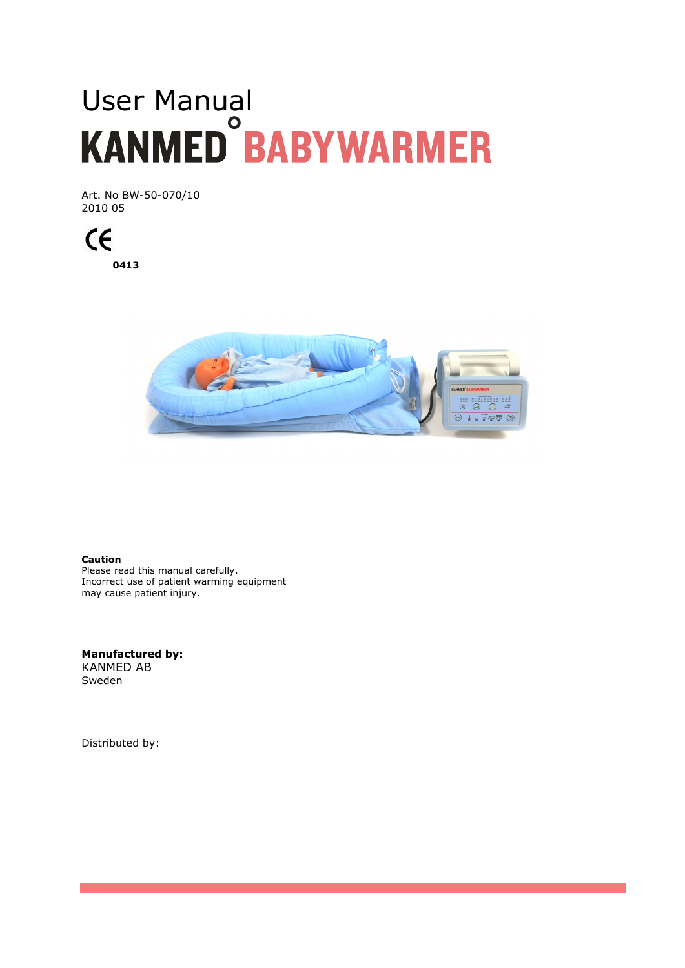# User Manual<br>KANMED BABYWARMER

Art. No BW-50-070/10 2010 05

 $\epsilon$ **0413** 



**Caution**  Please read this manual carefully. Incorrect use of patient warming equipment may cause patient injury.

**Manufactured by:**  KANMED AB Sweden

Distributed by: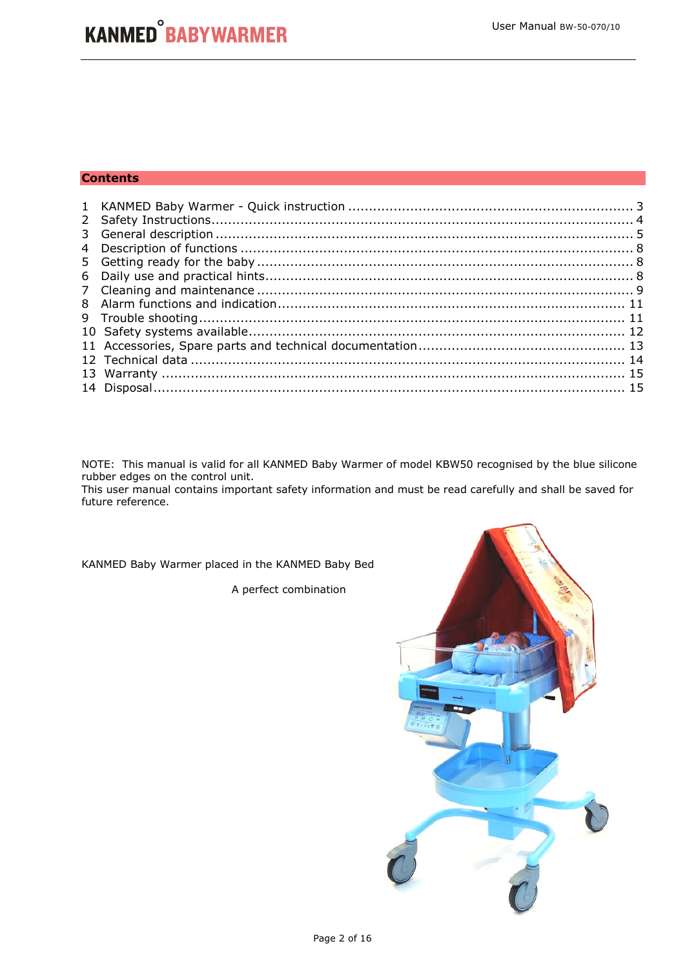#### **Contents**

NOTE: This manual is valid for all KANMED Baby Warmer of model KBW50 recognised by the blue silicone rubber edges on the control unit.

This user manual contains important safety information and must be read carefully and shall be saved for future reference.

KANMED Baby Warmer placed in the KANMED Baby Bed

A perfect combination

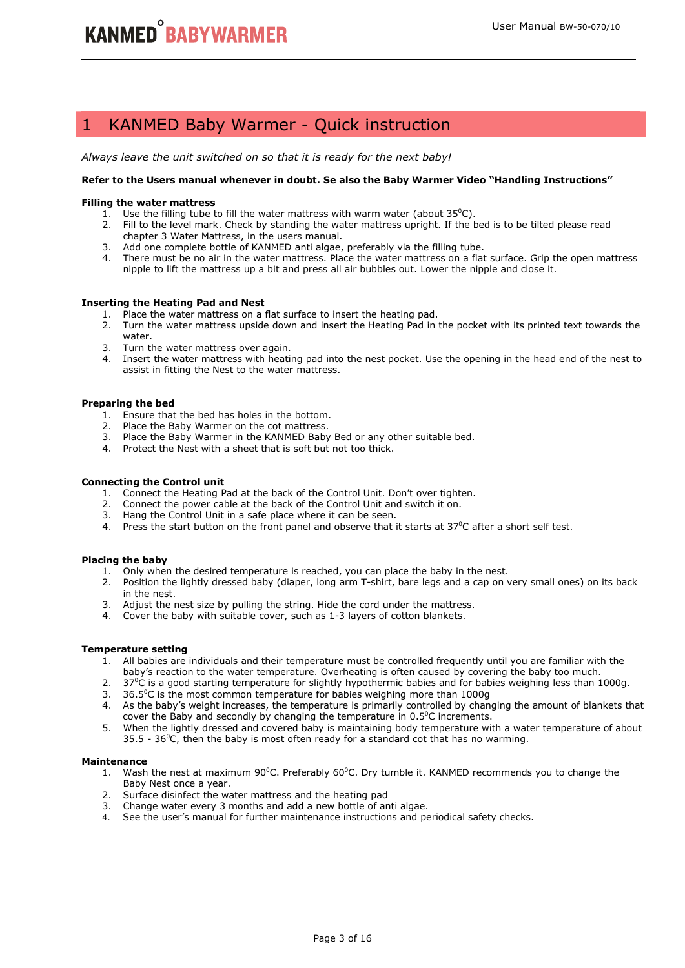## 1 KANMED Baby Warmer - Quick instruction

*Always leave the unit switched on so that it is ready for the next baby!* 

#### **Refer to the Users manual whenever in doubt. Se also the Baby Warmer Video "Handling Instructions"**

#### **Filling the water mattress**

- 1. Use the filling tube to fill the water mattress with warm water (about  $35^{\circ}$ C).
- 2. Fill to the level mark. Check by standing the water mattress upright. If the bed is to be tilted please read chapter 3 Water Mattress, in the users manual.
- 3. Add one complete bottle of KANMED anti algae, preferably via the filling tube.
- 4. There must be no air in the water mattress. Place the water mattress on a flat surface. Grip the open mattress nipple to lift the mattress up a bit and press all air bubbles out. Lower the nipple and close it.

#### **Inserting the Heating Pad and Nest**

- 1. Place the water mattress on a flat surface to insert the heating pad.
- 2. Turn the water mattress upside down and insert the Heating Pad in the pocket with its printed text towards the water.
- 3. Turn the water mattress over again.
- 4. Insert the water mattress with heating pad into the nest pocket. Use the opening in the head end of the nest to assist in fitting the Nest to the water mattress.

#### **Preparing the bed**

- 1. Ensure that the bed has holes in the bottom.
- 2. Place the Baby Warmer on the cot mattress.
- 3. Place the Baby Warmer in the KANMED Baby Bed or any other suitable bed.
- 4. Protect the Nest with a sheet that is soft but not too thick.

#### **Connecting the Control unit**

- 1. Connect the Heating Pad at the back of the Control Unit. Don't over tighten.
- 2. Connect the power cable at the back of the Control Unit and switch it on.
- 3. Hang the Control Unit in a safe place where it can be seen.
- 4. Press the start button on the front panel and observe that it starts at  $37^{\circ}$ C after a short self test.

#### **Placing the baby**

- 1. Only when the desired temperature is reached, you can place the baby in the nest.
- 2. Position the lightly dressed baby (diaper, long arm T-shirt, bare legs and a cap on very small ones) on its back in the nest.
- 3. Adjust the nest size by pulling the string. Hide the cord under the mattress.
- 4. Cover the baby with suitable cover, such as 1-3 layers of cotton blankets.

#### **Temperature setting**

- 1. All babies are individuals and their temperature must be controlled frequently until you are familiar with the baby's reaction to the water temperature. Overheating is often caused by covering the baby too much.
- 2.  $37^{\circ}$ C is a good starting temperature for slightly hypothermic babies and for babies weighing less than 1000g.
- 3. 36.5 $\degree$ C is the most common temperature for babies weighing more than 1000g
- 4. As the baby's weight increases, the temperature is primarily controlled by changing the amount of blankets that cover the Baby and secondly by changing the temperature in  $0.5^{\circ}$ C increments.
- 5. When the lightly dressed and covered baby is maintaining body temperature with a water temperature of about  $35.5 - 36^{\circ}$ C, then the baby is most often ready for a standard cot that has no warming.

#### **Maintenance**

- 1. Wash the nest at maximum  $90^{\circ}$ C. Preferably  $60^{\circ}$ C. Dry tumble it. KANMED recommends you to change the Baby Nest once a year.
- 2. Surface disinfect the water mattress and the heating pad
- 3. Change water every 3 months and add a new bottle of anti algae.
- 4. See the user's manual for further maintenance instructions and periodical safety checks.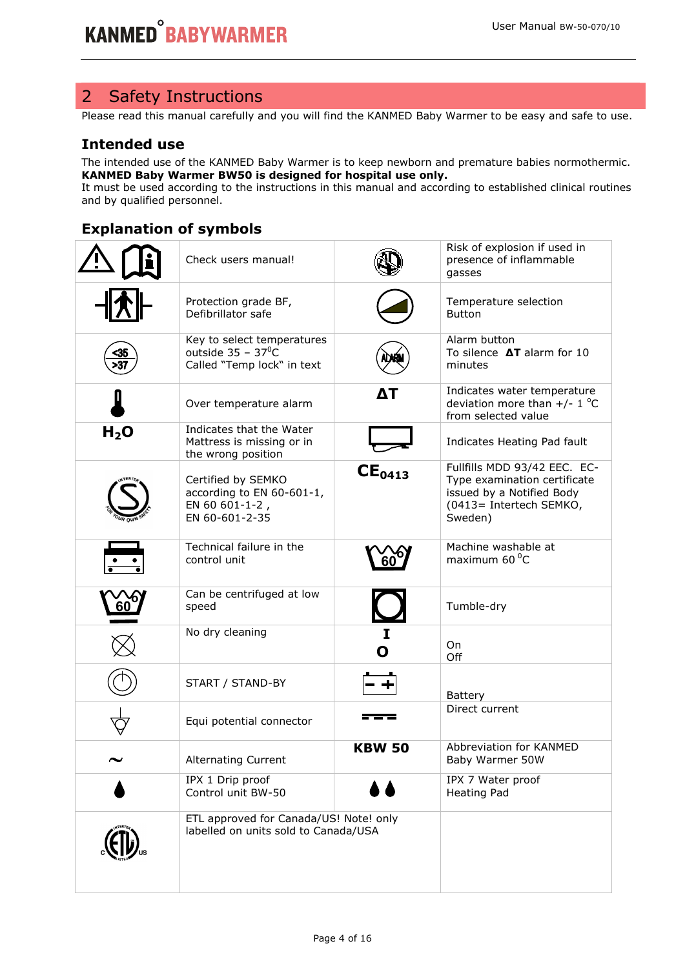## 2 Safety Instructions

Please read this manual carefully and you will find the KANMED Baby Warmer to be easy and safe to use.

## **Intended use**

The intended use of the KANMED Baby Warmer is to keep newborn and premature babies normothermic. **KANMED Baby Warmer BW50 is designed for hospital use only.**

It must be used according to the instructions in this manual and according to established clinical routines and by qualified personnel.

## **Explanation of symbols**

|                                  | Check users manual!                                                                    |               | Risk of explosion if used in<br>presence of inflammable<br>gasses                                                               |
|----------------------------------|----------------------------------------------------------------------------------------|---------------|---------------------------------------------------------------------------------------------------------------------------------|
|                                  | Protection grade BF,<br>Defibrillator safe                                             |               | Temperature selection<br><b>Button</b>                                                                                          |
| <u>35</u><br>$\overline{\sim}37$ | Key to select temperatures<br>outside $35 - 37^{\circ}C$<br>Called "Temp lock" in text |               | Alarm button<br>To silence $\Delta T$ alarm for 10<br>minutes                                                                   |
|                                  | Over temperature alarm                                                                 | ΔТ            | Indicates water temperature<br>deviation more than $+/- 1$ °C<br>from selected value                                            |
| H <sub>2</sub> O                 | Indicates that the Water<br>Mattress is missing or in<br>the wrong position            |               | Indicates Heating Pad fault                                                                                                     |
|                                  | Certified by SEMKO<br>according to EN 60-601-1,<br>EN 60 601-1-2,<br>EN 60-601-2-35    | $CE_{0413}$   | Fullfills MDD 93/42 EEC. EC-<br>Type examination certificate<br>issued by a Notified Body<br>(0413= Intertech SEMKO,<br>Sweden) |
|                                  | Technical failure in the<br>control unit                                               |               | Machine washable at<br>maximum 60 °C                                                                                            |
| 60                               | Can be centrifuged at low<br>speed                                                     |               | Tumble-dry                                                                                                                      |
|                                  | No dry cleaning                                                                        | I<br>Ο        | On<br>Off                                                                                                                       |
|                                  | START / STAND-BY                                                                       |               | Battery                                                                                                                         |
|                                  | Equi potential connector                                                               |               | Direct current                                                                                                                  |
|                                  | <b>Alternating Current</b>                                                             | <b>KBW 50</b> | Abbreviation for KANMED<br>Baby Warmer 50W                                                                                      |
|                                  | IPX 1 Drip proof<br>Control unit BW-50                                                 |               | IPX 7 Water proof<br><b>Heating Pad</b>                                                                                         |
|                                  | ETL approved for Canada/US! Note! only<br>labelled on units sold to Canada/USA         |               |                                                                                                                                 |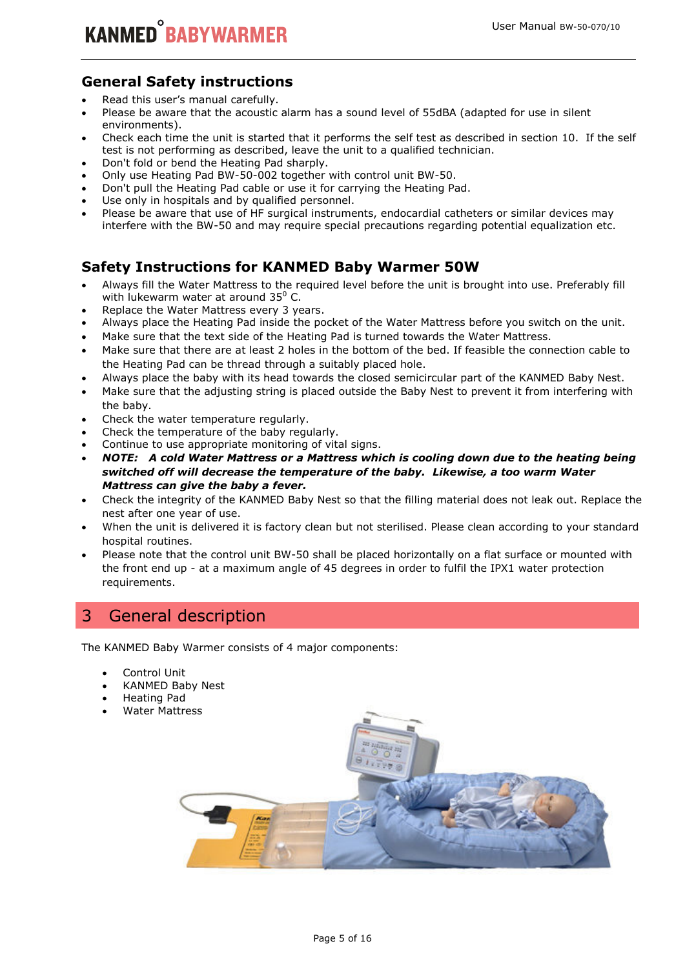## **General Safety instructions**

- Read this user's manual carefully.
- Please be aware that the acoustic alarm has a sound level of 55dBA (adapted for use in silent environments).
- Check each time the unit is started that it performs the self test as described in section 10. If the self test is not performing as described, leave the unit to a qualified technician.
- Don't fold or bend the Heating Pad sharply.
- Only use Heating Pad BW-50-002 together with control unit BW-50.
- Don't pull the Heating Pad cable or use it for carrying the Heating Pad.
- Use only in hospitals and by qualified personnel.
- Please be aware that use of HF surgical instruments, endocardial catheters or similar devices may interfere with the BW-50 and may require special precautions regarding potential equalization etc.

## **Safety Instructions for KANMED Baby Warmer 50W**

- Always fill the Water Mattress to the required level before the unit is brought into use. Preferably fill with lukewarm water at around  $35^{\circ}$  C.
- Replace the Water Mattress every 3 years.
- Always place the Heating Pad inside the pocket of the Water Mattress before you switch on the unit.
- Make sure that the text side of the Heating Pad is turned towards the Water Mattress.
- Make sure that there are at least 2 holes in the bottom of the bed. If feasible the connection cable to the Heating Pad can be thread through a suitably placed hole.
- Always place the baby with its head towards the closed semicircular part of the KANMED Baby Nest.
- Make sure that the adjusting string is placed outside the Baby Nest to prevent it from interfering with the baby.
- Check the water temperature regularly.
- Check the temperature of the baby regularly.
- Continue to use appropriate monitoring of vital signs.
- *NOTE: A cold Water Mattress or a Mattress which is cooling down due to the heating being switched off will decrease the temperature of the baby. Likewise, a too warm Water Mattress can give the baby a fever.*
- Check the integrity of the KANMED Baby Nest so that the filling material does not leak out. Replace the nest after one year of use.
- When the unit is delivered it is factory clean but not sterilised. Please clean according to your standard hospital routines.
- Please note that the control unit BW-50 shall be placed horizontally on a flat surface or mounted with the front end up - at a maximum angle of 45 degrees in order to fulfil the IPX1 water protection requirements.

## 3 General description

The KANMED Baby Warmer consists of 4 major components:

- Control Unit
- KANMED Baby Nest
- Heating Pad
- Water Mattress

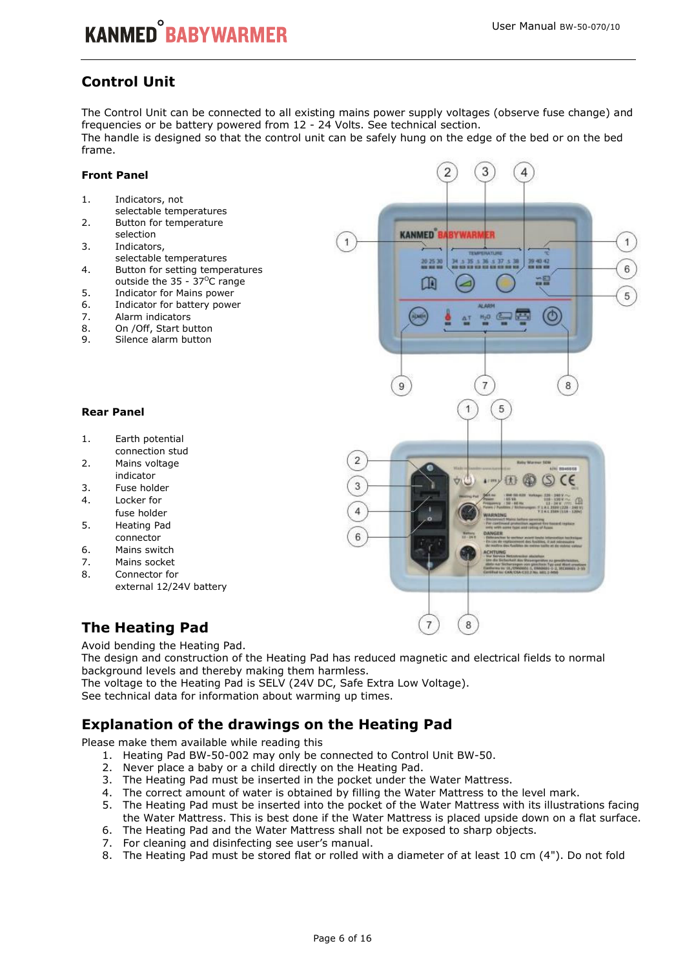## **Control Unit**

The Control Unit can be connected to all existing mains power supply voltages (observe fuse change) and frequencies or be battery powered from 12 - 24 Volts. See technical section. The handle is designed so that the control unit can be safely hung on the edge of the bed or on the bed frame.

#### **Front Panel**

- 1. Indicators, not
- selectable temperatures 2. Button for temperature
- selection 3. Indicators, selectable temperatures
- 4. Button for setting temperatures outside the  $35 - 37^{\circ}$ C range
- 5. Indicator for Mains power
- 6. Indicator for battery power
- 7. Alarm indicators
- 
- 8. On / Off, Start button<br>9. Silence alarm button Silence alarm button

#### **Rear Panel**

- 1. Earth potential connection stud
- 2. Mains voltage indicator
- 3. Fuse holder
- 4. Locker for
- fuse holder 5. Heating Pad
- connector
- 6. Mains switch
- 7. Mains socket
- 8. Connector for external 12/24V battery

## **The Heating Pad**

Avoid bending the Heating Pad.

The design and construction of the Heating Pad has reduced magnetic and electrical fields to normal background levels and thereby making them harmless.

The voltage to the Heating Pad is SELV (24V DC, Safe Extra Low Voltage).

See technical data for information about warming up times.

## **Explanation of the drawings on the Heating Pad**

Please make them available while reading this

- 1. Heating Pad BW-50-002 may only be connected to Control Unit BW-50.
- 2. Never place a baby or a child directly on the Heating Pad.
- 3. The Heating Pad must be inserted in the pocket under the Water Mattress.
- 4. The correct amount of water is obtained by filling the Water Mattress to the level mark.
- 5. The Heating Pad must be inserted into the pocket of the Water Mattress with its illustrations facing the Water Mattress. This is best done if the Water Mattress is placed upside down on a flat surface.
- 6. The Heating Pad and the Water Mattress shall not be exposed to sharp objects.
- 7. For cleaning and disinfecting see user's manual.
- 8. The Heating Pad must be stored flat or rolled with a diameter of at least 10 cm (4"). Do not fold

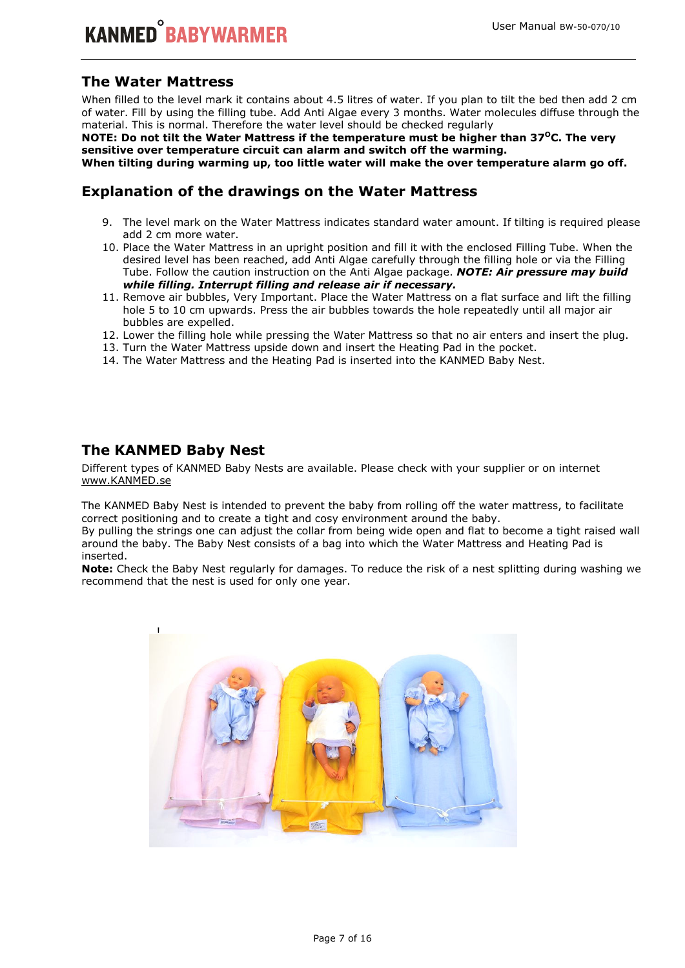## **The Water Mattress**

When filled to the level mark it contains about 4.5 litres of water. If you plan to tilt the bed then add 2 cm of water. Fill by using the filling tube. Add Anti Algae every 3 months. Water molecules diffuse through the material. This is normal. Therefore the water level should be checked regularly

**NOTE: Do not tilt the Water Mattress if the temperature must be higher than 37<sup>O</sup>C. The very sensitive over temperature circuit can alarm and switch off the warming.** 

**When tilting during warming up, too little water will make the over temperature alarm go off.** 

## **Explanation of the drawings on the Water Mattress**

- 9. The level mark on the Water Mattress indicates standard water amount. If tilting is required please add 2 cm more water.
- 10. Place the Water Mattress in an upright position and fill it with the enclosed Filling Tube. When the desired level has been reached, add Anti Algae carefully through the filling hole or via the Filling Tube. Follow the caution instruction on the Anti Algae package. *NOTE: Air pressure may build while filling. Interrupt filling and release air if necessary.*
- 11. Remove air bubbles, Very Important. Place the Water Mattress on a flat surface and lift the filling hole 5 to 10 cm upwards. Press the air bubbles towards the hole repeatedly until all major air bubbles are expelled.
- 12. Lower the filling hole while pressing the Water Mattress so that no air enters and insert the plug.
- 13. Turn the Water Mattress upside down and insert the Heating Pad in the pocket.
- 14. The Water Mattress and the Heating Pad is inserted into the KANMED Baby Nest.

#### **The KANMED Baby Nest**

Different types of KANMED Baby Nests are available. Please check with your supplier or on internet www.KANMED.se

The KANMED Baby Nest is intended to prevent the baby from rolling off the water mattress, to facilitate correct positioning and to create a tight and cosy environment around the baby.

By pulling the strings one can adjust the collar from being wide open and flat to become a tight raised wall around the baby. The Baby Nest consists of a bag into which the Water Mattress and Heating Pad is inserted.

**Note:** Check the Baby Nest regularly for damages. To reduce the risk of a nest splitting during washing we recommend that the nest is used for only one year.

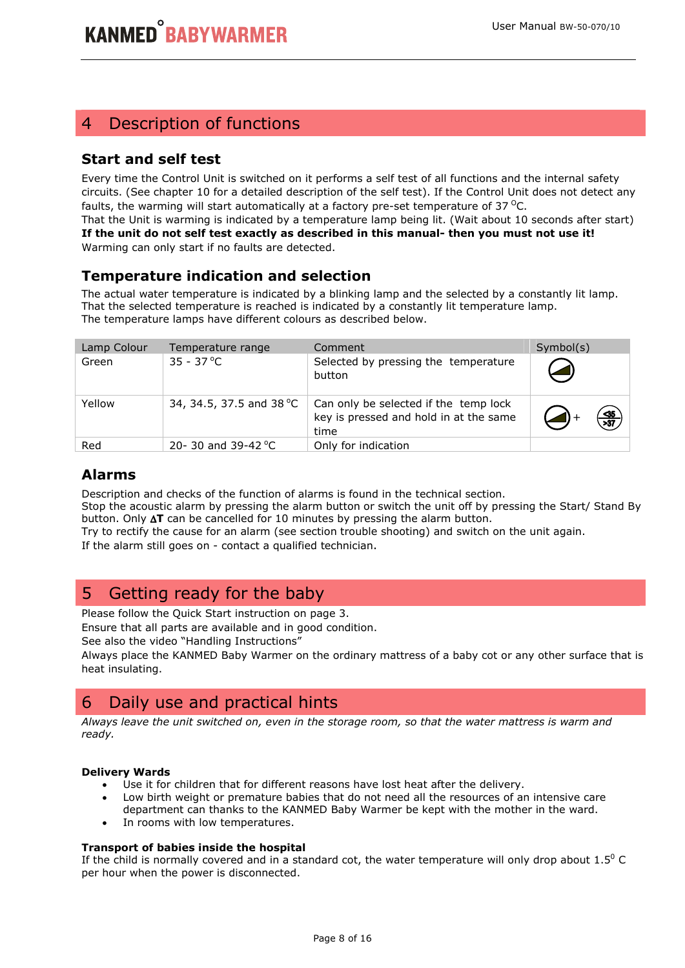## 4 Description of functions

## **Start and self test**

Every time the Control Unit is switched on it performs a self test of all functions and the internal safety circuits. (See chapter 10 for a detailed description of the self test). If the Control Unit does not detect any faults, the warming will start automatically at a factory pre-set temperature of 37 $^{\circ}$ C.

That the Unit is warming is indicated by a temperature lamp being lit. (Wait about 10 seconds after start) **If the unit do not self test exactly as described in this manual- then you must not use it!**  Warming can only start if no faults are detected.

## **Temperature indication and selection**

The actual water temperature is indicated by a blinking lamp and the selected by a constantly lit lamp. That the selected temperature is reached is indicated by a constantly lit temperature lamp. The temperature lamps have different colours as described below.

| Lamp Colour | Temperature range            | Comment                                                                                 | Symbol(s)        |
|-------------|------------------------------|-----------------------------------------------------------------------------------------|------------------|
| Green       | $35 - 37$ °C                 | Selected by pressing the temperature<br>button                                          |                  |
| Yellow      | 34, 34.5, 37.5 and 38 °C     | Can only be selected if the temp lock<br>key is pressed and hold in at the same<br>time | $\frac{35}{237}$ |
| Red         | 20-30 and 39-42 $^{\circ}$ C | Only for indication                                                                     |                  |

## **Alarms**

Description and checks of the function of alarms is found in the technical section.

Stop the acoustic alarm by pressing the alarm button or switch the unit off by pressing the Start/ Stand By button. Only ∆**T** can be cancelled for 10 minutes by pressing the alarm button.

Try to rectify the cause for an alarm (see section trouble shooting) and switch on the unit again.

If the alarm still goes on - contact a qualified technician.

## 5 Getting ready for the baby

Please follow the Quick Start instruction on page 3.

Ensure that all parts are available and in good condition.

See also the video "Handling Instructions"

Always place the KANMED Baby Warmer on the ordinary mattress of a baby cot or any other surface that is heat insulating.

## 6 Daily use and practical hints

*Always leave the unit switched on, even in the storage room, so that the water mattress is warm and ready.* 

#### **Delivery Wards**

- Use it for children that for different reasons have lost heat after the delivery.
- Low birth weight or premature babies that do not need all the resources of an intensive care department can thanks to the KANMED Baby Warmer be kept with the mother in the ward.
- In rooms with low temperatures.

#### **Transport of babies inside the hospital**

If the child is normally covered and in a standard cot, the water temperature will only drop about  $1.5^{\circ}$  C per hour when the power is disconnected.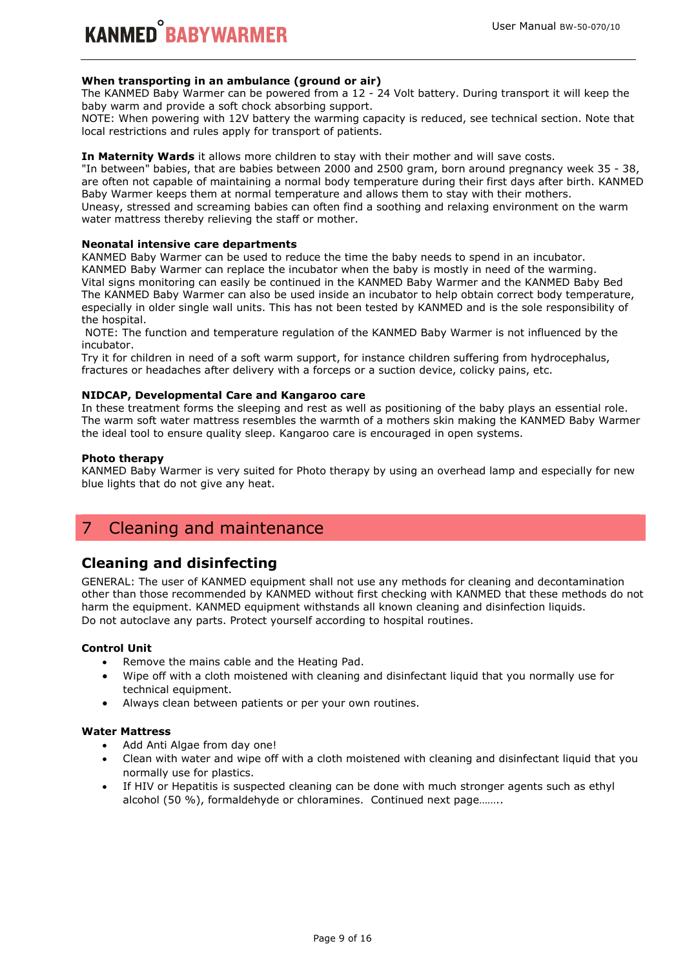#### **When transporting in an ambulance (ground or air)**

The KANMED Baby Warmer can be powered from a 12 - 24 Volt battery. During transport it will keep the baby warm and provide a soft chock absorbing support.

NOTE: When powering with 12V battery the warming capacity is reduced, see technical section. Note that local restrictions and rules apply for transport of patients.

#### **In Maternity Wards** it allows more children to stay with their mother and will save costs.

"In between" babies, that are babies between 2000 and 2500 gram, born around pregnancy week 35 - 38, are often not capable of maintaining a normal body temperature during their first days after birth. KANMED Baby Warmer keeps them at normal temperature and allows them to stay with their mothers. Uneasy, stressed and screaming babies can often find a soothing and relaxing environment on the warm water mattress thereby relieving the staff or mother.

#### **Neonatal intensive care departments**

KANMED Baby Warmer can be used to reduce the time the baby needs to spend in an incubator. KANMED Baby Warmer can replace the incubator when the baby is mostly in need of the warming. Vital signs monitoring can easily be continued in the KANMED Baby Warmer and the KANMED Baby Bed The KANMED Baby Warmer can also be used inside an incubator to help obtain correct body temperature, especially in older single wall units. This has not been tested by KANMED and is the sole responsibility of the hospital.

 NOTE: The function and temperature regulation of the KANMED Baby Warmer is not influenced by the incubator.

Try it for children in need of a soft warm support, for instance children suffering from hydrocephalus, fractures or headaches after delivery with a forceps or a suction device, colicky pains, etc.

#### **NIDCAP, Developmental Care and Kangaroo care**

In these treatment forms the sleeping and rest as well as positioning of the baby plays an essential role. The warm soft water mattress resembles the warmth of a mothers skin making the KANMED Baby Warmer the ideal tool to ensure quality sleep. Kangaroo care is encouraged in open systems.

#### **Photo therapy**

KANMED Baby Warmer is very suited for Photo therapy by using an overhead lamp and especially for new blue lights that do not give any heat.

## 7 Cleaning and maintenance

#### **Cleaning and disinfecting**

GENERAL: The user of KANMED equipment shall not use any methods for cleaning and decontamination other than those recommended by KANMED without first checking with KANMED that these methods do not harm the equipment. KANMED equipment withstands all known cleaning and disinfection liquids. Do not autoclave any parts. Protect yourself according to hospital routines.

#### **Control Unit**

- Remove the mains cable and the Heating Pad.
- Wipe off with a cloth moistened with cleaning and disinfectant liquid that you normally use for technical equipment.
- Always clean between patients or per your own routines.

#### **Water Mattress**

- Add Anti Algae from day one!
- Clean with water and wipe off with a cloth moistened with cleaning and disinfectant liquid that you normally use for plastics.
- If HIV or Hepatitis is suspected cleaning can be done with much stronger agents such as ethyl alcohol (50 %), formaldehyde or chloramines. Continued next page……..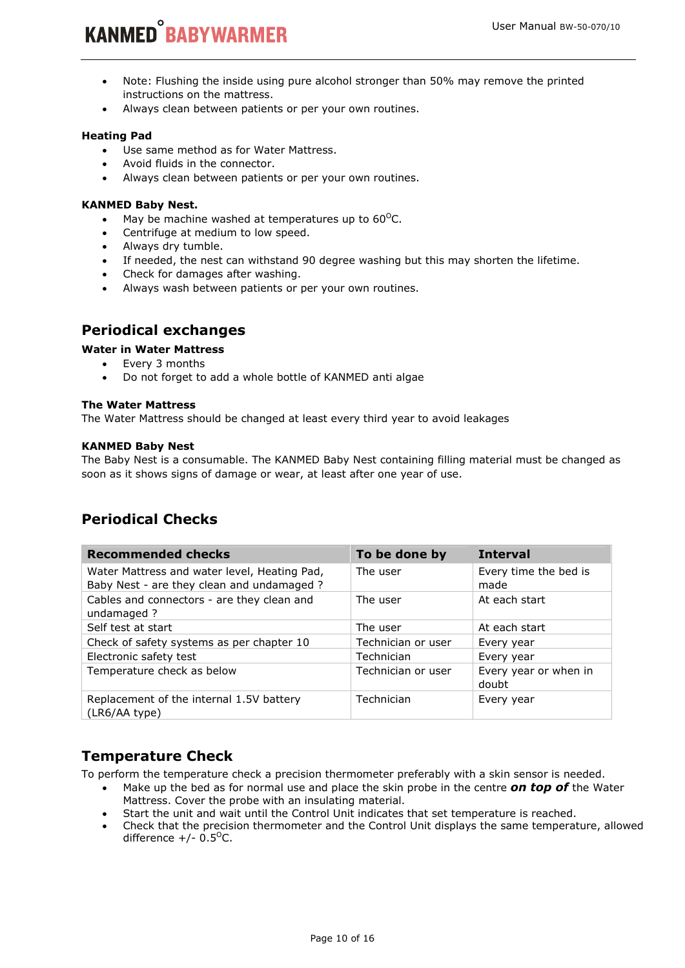# **KANMED<sup>°</sup>BABYWARMER**

- Note: Flushing the inside using pure alcohol stronger than 50% may remove the printed instructions on the mattress.
- Always clean between patients or per your own routines.

#### **Heating Pad**

- Use same method as for Water Mattress.
- Avoid fluids in the connector.
- Always clean between patients or per your own routines.

#### **KANMED Baby Nest.**

- May be machine washed at temperatures up to  $60^{\circ}$ C.
- Centrifuge at medium to low speed.
- Always dry tumble.
- If needed, the nest can withstand 90 degree washing but this may shorten the lifetime.
- Check for damages after washing.
- Always wash between patients or per your own routines.

## **Periodical exchanges**

#### **Water in Water Mattress**

- Every 3 months
- Do not forget to add a whole bottle of KANMED anti algae

#### **The Water Mattress**

The Water Mattress should be changed at least every third year to avoid leakages

#### **KANMED Baby Nest**

The Baby Nest is a consumable. The KANMED Baby Nest containing filling material must be changed as soon as it shows signs of damage or wear, at least after one year of use.

## **Periodical Checks**

| <b>Recommended checks</b>                                                                  | To be done by      | <b>Interval</b>                |
|--------------------------------------------------------------------------------------------|--------------------|--------------------------------|
| Water Mattress and water level, Heating Pad,<br>Baby Nest - are they clean and undamaged ? | The user           | Every time the bed is<br>made  |
| Cables and connectors - are they clean and<br>undamaged ?                                  | The user           | At each start                  |
| Self test at start                                                                         | The user           | At each start                  |
| Check of safety systems as per chapter 10                                                  | Technician or user | Every year                     |
| Electronic safety test                                                                     | Technician         | Every year                     |
| Temperature check as below                                                                 | Technician or user | Every year or when in<br>doubt |
| Replacement of the internal 1.5V battery<br>(LR6/AA type)                                  | Technician         | Every year                     |

## **Temperature Check**

To perform the temperature check a precision thermometer preferably with a skin sensor is needed.

- Make up the bed as for normal use and place the skin probe in the centre *on top of* the Water Mattress. Cover the probe with an insulating material.
- Start the unit and wait until the Control Unit indicates that set temperature is reached.
- Check that the precision thermometer and the Control Unit displays the same temperature, allowed difference  $+/- 0.5$ <sup>o</sup>C.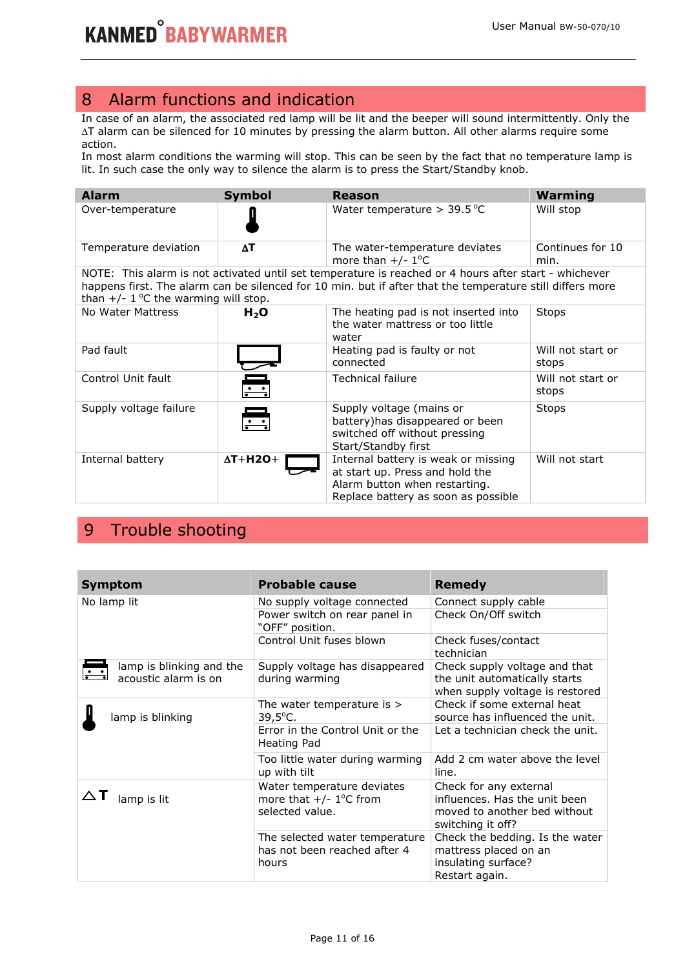## 8 Alarm functions and indication

In case of an alarm, the associated red lamp will be lit and the beeper will sound intermittently. Only the ∆T alarm can be silenced for 10 minutes by pressing the alarm button. All other alarms require some action.

In most alarm conditions the warming will stop. This can be seen by the fact that no temperature lamp is lit. In such case the only way to silence the alarm is to press the Start/Standby knob.

| <b>Alarm</b>                           | <b>Symbol</b>                                   | <b>Reason</b>                                                                                                                                                                                                      | <b>Warming</b>             |
|----------------------------------------|-------------------------------------------------|--------------------------------------------------------------------------------------------------------------------------------------------------------------------------------------------------------------------|----------------------------|
| Over-temperature                       |                                                 | Water temperature $>$ 39.5 °C                                                                                                                                                                                      | Will stop                  |
| Temperature deviation                  | $\Delta$ T                                      | The water-temperature deviates<br>more than $+/- 1$ <sup>o</sup> C                                                                                                                                                 | Continues for 10<br>min.   |
| than $+/- 1$ °C the warming will stop. |                                                 | NOTE: This alarm is not activated until set temperature is reached or 4 hours after start - whichever<br>happens first. The alarm can be silenced for 10 min. but if after that the temperature still differs more |                            |
| No Water Mattress                      | $H_2O$                                          | The heating pad is not inserted into<br>the water mattress or too little<br>water                                                                                                                                  | Stops                      |
| Pad fault                              |                                                 | Heating pad is faulty or not<br>connected                                                                                                                                                                          | Will not start or<br>stops |
| Control Unit fault                     | $\begin{array}{ c c }\hline \cdots \end{array}$ | <b>Technical failure</b>                                                                                                                                                                                           | Will not start or<br>stops |
| Supply voltage failure                 | $\frac{\cdot}{\cdot}$                           | Supply voltage (mains or<br>battery) has disappeared or been<br>switched off without pressing<br>Start/Standby first                                                                                               | <b>Stops</b>               |
| Internal battery                       | $\Delta T + H2O+$                               | Internal battery is weak or missing<br>at start up. Press and hold the<br>Alarm button when restarting.<br>Replace battery as soon as possible                                                                     | Will not start             |

## 9 Trouble shooting

| <b>Symptom</b>                                   | <b>Probable cause</b>                                                                  | <b>Remedy</b>                                                                                                |
|--------------------------------------------------|----------------------------------------------------------------------------------------|--------------------------------------------------------------------------------------------------------------|
| No lamp lit                                      | No supply voltage connected                                                            | Connect supply cable                                                                                         |
|                                                  | Power switch on rear panel in<br>"OFF" position.                                       | Check On/Off switch                                                                                          |
|                                                  | Control Unit fuses blown                                                               | Check fuses/contact<br>technician                                                                            |
| lamp is blinking and the<br>acoustic alarm is on | Supply voltage has disappeared<br>during warming                                       | Check supply voltage and that<br>the unit automatically starts<br>when supply voltage is restored            |
| lamp is blinking                                 | The water temperature is $>$<br>$39,5^{\circ}$ C.                                      | Check if some external heat<br>source has influenced the unit.                                               |
|                                                  | Error in the Control Unit or the<br>Heating Pad                                        | Let a technician check the unit.                                                                             |
|                                                  | Too little water during warming<br>up with tilt                                        | Add 2 cm water above the level<br>line.                                                                      |
| lamp is lit                                      | Water temperature deviates<br>more that $+/- 1$ <sup>o</sup> C from<br>selected value. | Check for any external<br>influences. Has the unit been<br>moved to another bed without<br>switching it off? |
|                                                  | The selected water temperature<br>has not been reached after 4<br>hours                | Check the bedding. Is the water<br>mattress placed on an<br>insulating surface?<br>Restart again.            |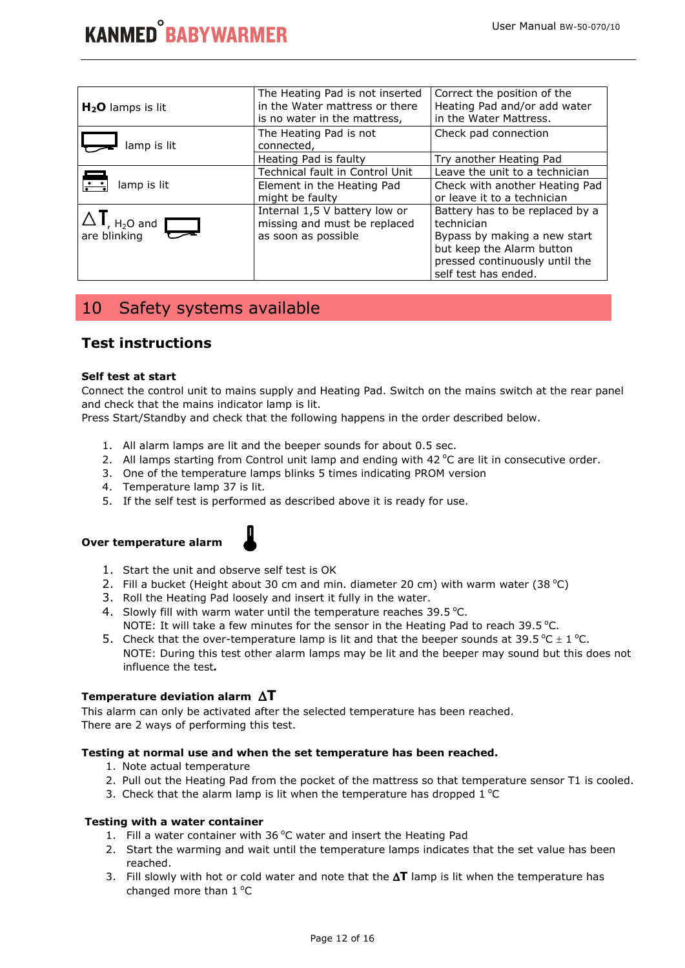| $H2O$ lamps is lit                        | The Heating Pad is not inserted<br>in the Water mattress or there<br>is no water in the mattress, | Correct the position of the<br>Heating Pad and/or add water<br>in the Water Mattress. |
|-------------------------------------------|---------------------------------------------------------------------------------------------------|---------------------------------------------------------------------------------------|
| lamp is lit                               | The Heating Pad is not<br>connected,                                                              | Check pad connection                                                                  |
|                                           | Heating Pad is faulty                                                                             | Try another Heating Pad                                                               |
|                                           | Technical fault in Control Unit                                                                   | Leave the unit to a technician                                                        |
| lamp is lit                               | Element in the Heating Pad                                                                        | Check with another Heating Pad                                                        |
|                                           | might be faulty                                                                                   | or leave it to a technician                                                           |
|                                           | Internal 1,5 V battery low or                                                                     | Battery has to be replaced by a                                                       |
| $\Delta$ I, $_{\text{H}_2\text{O}}$ and I | missing and must be replaced                                                                      | technician                                                                            |
| are blinking                              | as soon as possible                                                                               | Bypass by making a new start                                                          |
|                                           |                                                                                                   | but keep the Alarm button                                                             |
|                                           |                                                                                                   | pressed continuously until the                                                        |
|                                           |                                                                                                   | self test has ended.                                                                  |

## 10 Safety systems available

## **Test instructions**

#### **Self test at start**

Connect the control unit to mains supply and Heating Pad. Switch on the mains switch at the rear panel and check that the mains indicator lamp is lit.

Press Start/Standby and check that the following happens in the order described below.

- 1. All alarm lamps are lit and the beeper sounds for about 0.5 sec.
- 2. All lamps starting from Control unit lamp and ending with  $42^{\circ}$ C are lit in consecutive order.
- 3. One of the temperature lamps blinks 5 times indicating PROM version
- 4. Temperature lamp 37 is lit.
- 5. If the self test is performed as described above it is ready for use.

#### **Over temperature alarm**



- 1. Start the unit and observe self test is OK
- 2. Fill a bucket (Height about 30 cm and min. diameter 20 cm) with warm water (38 °C)
- 3. Roll the Heating Pad loosely and insert it fully in the water.
- 4. Slowly fill with warm water until the temperature reaches  $39.5^{\circ}$ C. NOTE: It will take a few minutes for the sensor in the Heating Pad to reach 39.5 °C.
- 5. Check that the over-temperature lamp is lit and that the beeper sounds at 39.5 °C  $\pm$  1 °C. NOTE: During this test other alarm lamps may be lit and the beeper may sound but this does not influence the test*.*

#### **Temperature deviation alarm** ∆**T**

This alarm can only be activated after the selected temperature has been reached. There are 2 ways of performing this test.

#### **Testing at normal use and when the set temperature has been reached.**

- 1. Note actual temperature
- 2. Pull out the Heating Pad from the pocket of the mattress so that temperature sensor T1 is cooled.
- 3. Check that the alarm lamp is lit when the temperature has dropped  $1^{\circ}C$

#### **Testing with a water container**

- 1. Fill a water container with 36 $^{\circ}$ C water and insert the Heating Pad
- 2. Start the warming and wait until the temperature lamps indicates that the set value has been reached.
- 3. Fill slowly with hot or cold water and note that the ∆**T** lamp is lit when the temperature has changed more than  $1^{\circ}C$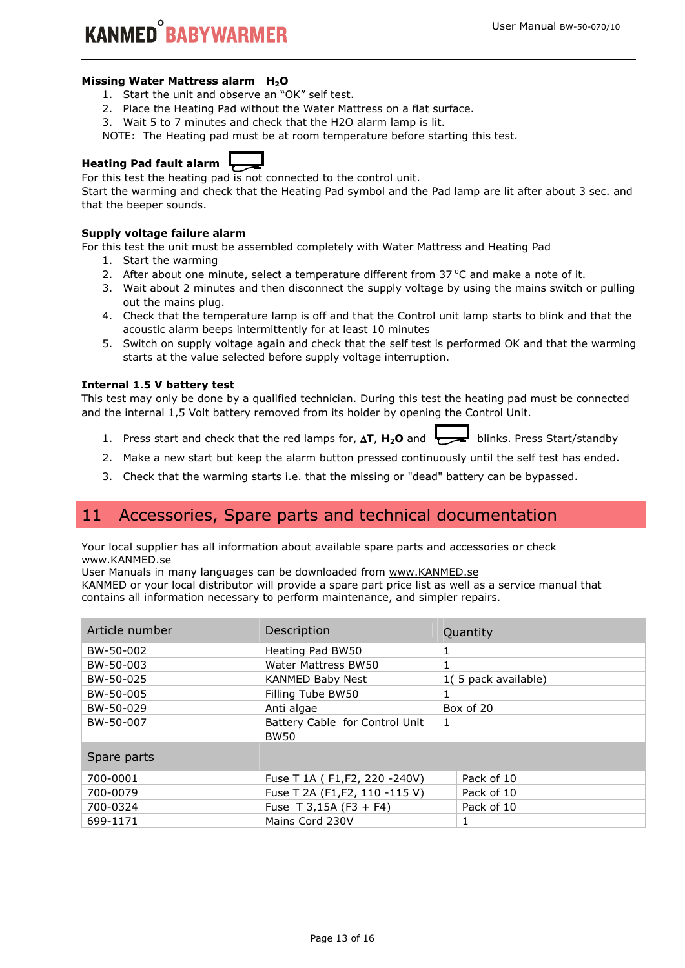## **KANMED<sup>°</sup>RARYWARMER**

#### **Missing Water Mattress alarm H2O**

- 1. Start the unit and observe an "OK" self test.
- 2. Place the Heating Pad without the Water Mattress on a flat surface.
- 3. Wait 5 to 7 minutes and check that the H2O alarm lamp is lit.
- NOTE: The Heating pad must be at room temperature before starting this test.

## **Heating Pad fault alarm**

For this test the heating pad is not connected to the control unit.

Start the warming and check that the Heating Pad symbol and the Pad lamp are lit after about 3 sec. and that the beeper sounds.

#### **Supply voltage failure alarm**

For this test the unit must be assembled completely with Water Mattress and Heating Pad

- 1. Start the warming
- 2. After about one minute, select a temperature different from  $37^{\circ}$ C and make a note of it.
- 3. Wait about 2 minutes and then disconnect the supply voltage by using the mains switch or pulling out the mains plug.
- 4. Check that the temperature lamp is off and that the Control unit lamp starts to blink and that the acoustic alarm beeps intermittently for at least 10 minutes
- 5. Switch on supply voltage again and check that the self test is performed OK and that the warming starts at the value selected before supply voltage interruption.

#### **Internal 1.5 V battery test**

This test may only be done by a qualified technician. During this test the heating pad must be connected and the internal 1,5 Volt battery removed from its holder by opening the Control Unit.

- 1. Press start and check that the red lamps for, ∆**T**, **H2O** and blinks. Press Start/standby
- 2. Make a new start but keep the alarm button pressed continuously until the self test has ended.
- 3. Check that the warming starts i.e. that the missing or "dead" battery can be bypassed.

## 11 Accessories, Spare parts and technical documentation

Your local supplier has all information about available spare parts and accessories or check www.KANMED.se

User Manuals in many languages can be downloaded from www.KANMED.se

KANMED or your local distributor will provide a spare part price list as well as a service manual that contains all information necessary to perform maintenance, and simpler repairs.

| Article number          | Description                                   | Quantity            |
|-------------------------|-----------------------------------------------|---------------------|
| BW-50-002               | Heating Pad BW50                              | 1                   |
| BW-50-003               | Water Mattress BW50                           | 1                   |
| BW-50-025               | <b>KANMED Baby Nest</b>                       | 1(5 pack available) |
| BW-50-005               | Filling Tube BW50                             |                     |
| BW-50-029<br>Anti algae |                                               | Box of 20           |
| BW-50-007               | Battery Cable for Control Unit<br><b>BW50</b> | 1                   |
| Spare parts             |                                               |                     |
| 700-0001                | Fuse T 1A (F1,F2, 220 -240V)                  | Pack of 10          |
| 700-0079                | Fuse T 2A (F1,F2, 110 -115 V)                 | Pack of 10          |
| 700-0324                | Fuse T 3,15A (F3 + F4)                        | Pack of 10          |
| 699-1171                | Mains Cord 230V                               |                     |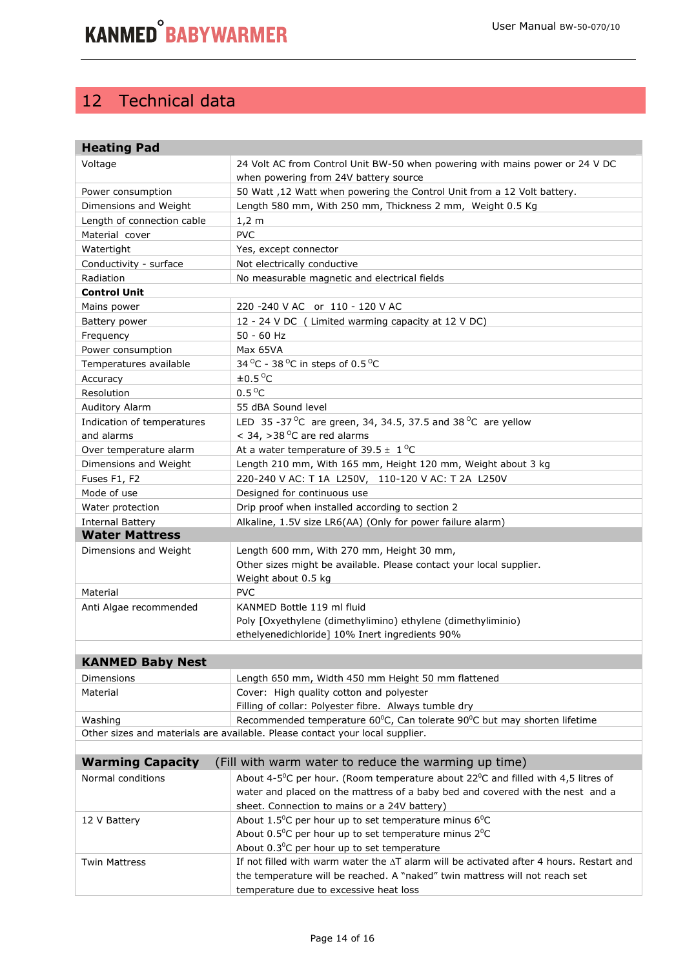## 12 Technical data

| <b>Heating Pad</b>                                                             |                                                                                                         |  |  |  |
|--------------------------------------------------------------------------------|---------------------------------------------------------------------------------------------------------|--|--|--|
| Voltage                                                                        | 24 Volt AC from Control Unit BW-50 when powering with mains power or 24 V DC                            |  |  |  |
|                                                                                | when powering from 24V battery source                                                                   |  |  |  |
| Power consumption                                                              | 50 Watt, 12 Watt when powering the Control Unit from a 12 Volt battery.                                 |  |  |  |
| Dimensions and Weight                                                          | Length 580 mm, With 250 mm, Thickness 2 mm, Weight 0.5 Kg                                               |  |  |  |
| Length of connection cable                                                     | $1,2 \, m$                                                                                              |  |  |  |
| Material cover                                                                 | <b>PVC</b>                                                                                              |  |  |  |
| Watertight                                                                     | Yes, except connector                                                                                   |  |  |  |
| Conductivity - surface                                                         | Not electrically conductive                                                                             |  |  |  |
| Radiation                                                                      | No measurable magnetic and electrical fields                                                            |  |  |  |
| <b>Control Unit</b>                                                            |                                                                                                         |  |  |  |
| Mains power                                                                    | 220 -240 V AC or 110 - 120 V AC                                                                         |  |  |  |
| Battery power                                                                  | 12 - 24 V DC ( Limited warming capacity at 12 V DC)                                                     |  |  |  |
| Frequency                                                                      | 50 - 60 Hz                                                                                              |  |  |  |
| Power consumption                                                              | Max 65VA                                                                                                |  |  |  |
| Temperatures available                                                         | 34 °C - 38 °C in steps of 0.5 °C                                                                        |  |  |  |
| Accuracy                                                                       | $\pm 0.5^{\circ}$ C                                                                                     |  |  |  |
| Resolution                                                                     | $0.5^{\circ}$ C                                                                                         |  |  |  |
| Auditory Alarm                                                                 | 55 dBA Sound level                                                                                      |  |  |  |
| Indication of temperatures                                                     | LED 35 -37 °C are green, 34, 34.5, 37.5 and 38 °C are yellow                                            |  |  |  |
| and alarms                                                                     | $<$ 34, >38 °C are red alarms                                                                           |  |  |  |
| Over temperature alarm                                                         | At a water temperature of 39.5 $\pm$ 1 <sup>o</sup> C                                                   |  |  |  |
| Dimensions and Weight                                                          | Length 210 mm, With 165 mm, Height 120 mm, Weight about 3 kg                                            |  |  |  |
| Fuses F1, F2                                                                   | 220-240 V AC: T 1A L250V, 110-120 V AC: T 2A L250V                                                      |  |  |  |
| Mode of use                                                                    | Designed for continuous use                                                                             |  |  |  |
| Water protection                                                               | Drip proof when installed according to section 2                                                        |  |  |  |
| <b>Internal Battery</b>                                                        | Alkaline, 1.5V size LR6(AA) (Only for power failure alarm)                                              |  |  |  |
| <b>Water Mattress</b>                                                          |                                                                                                         |  |  |  |
| Dimensions and Weight                                                          | Length 600 mm, With 270 mm, Height 30 mm,                                                               |  |  |  |
|                                                                                | Other sizes might be available. Please contact your local supplier.                                     |  |  |  |
|                                                                                | Weight about 0.5 kg                                                                                     |  |  |  |
| Material                                                                       | <b>PVC</b>                                                                                              |  |  |  |
| Anti Algae recommended                                                         | KANMED Bottle 119 ml fluid                                                                              |  |  |  |
|                                                                                | Poly [Oxyethylene (dimethylimino) ethylene (dimethyliminio)                                             |  |  |  |
|                                                                                | ethelyenedichloride] 10% Inert ingredients 90%                                                          |  |  |  |
|                                                                                |                                                                                                         |  |  |  |
| <b>KANMED Baby Nest</b>                                                        |                                                                                                         |  |  |  |
| Dimensions                                                                     | Length 650 mm, Width 450 mm Height 50 mm flattened                                                      |  |  |  |
| Material                                                                       | Cover: High quality cotton and polyester                                                                |  |  |  |
|                                                                                | Filling of collar: Polyester fibre. Always tumble dry                                                   |  |  |  |
| Washing                                                                        | Recommended temperature 60°C, Can tolerate 90°C but may shorten lifetime                                |  |  |  |
| Other sizes and materials are available. Please contact your local supplier.   |                                                                                                         |  |  |  |
| <b>Warming Capacity</b>                                                        | (Fill with warm water to reduce the warming up time)                                                    |  |  |  |
| Normal conditions                                                              | About 4-5 <sup>o</sup> C per hour. (Room temperature about $22^{\circ}$ C and filled with 4,5 litres of |  |  |  |
| water and placed on the mattress of a baby bed and covered with the nest and a |                                                                                                         |  |  |  |
|                                                                                | sheet. Connection to mains or a 24V battery)                                                            |  |  |  |
| 12 V Battery                                                                   | About $1.5^{\circ}$ C per hour up to set temperature minus 6 $^{\circ}$ C                               |  |  |  |
|                                                                                | About 0.5°C per hour up to set temperature minus 2°C                                                    |  |  |  |
|                                                                                | About $0.3^{\circ}$ C per hour up to set temperature                                                    |  |  |  |
| Twin Mattress                                                                  | If not filled with warm water the AT alarm will be activated after 4 hours. Restart and                 |  |  |  |
| the temperature will be reached. A "naked" twin mattress will not reach set    |                                                                                                         |  |  |  |
|                                                                                | temperature due to excessive heat loss                                                                  |  |  |  |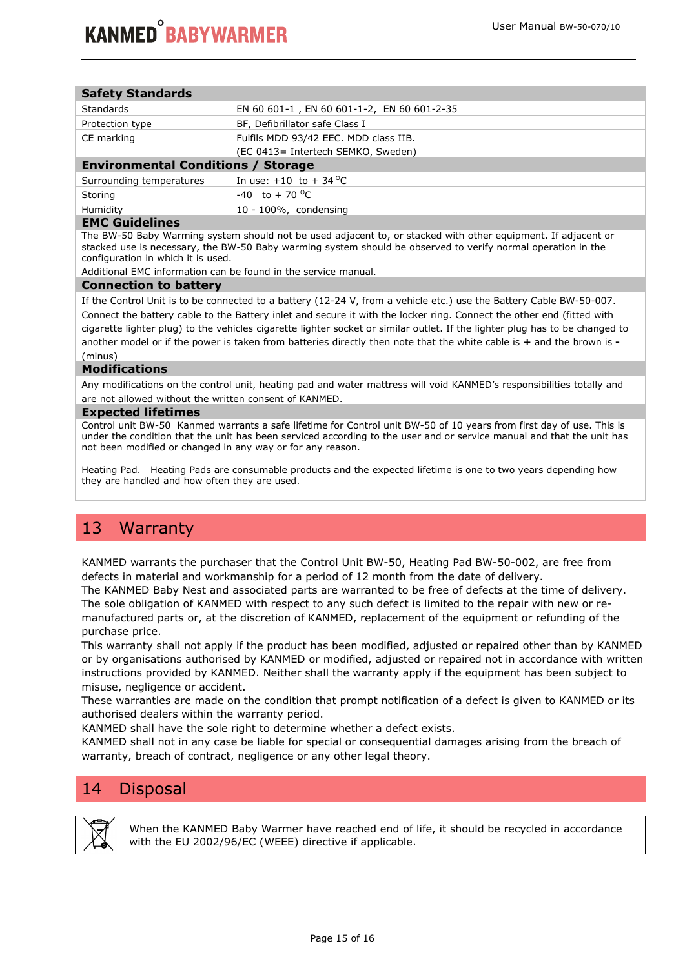| <b>Safety Standards</b>                   |                                            |  |  |  |
|-------------------------------------------|--------------------------------------------|--|--|--|
| <b>Standards</b>                          | EN 60 601-1, EN 60 601-1-2, EN 60 601-2-35 |  |  |  |
| Protection type                           | BF, Defibrillator safe Class I             |  |  |  |
| CE marking                                | Fulfils MDD 93/42 EEC. MDD class IIB.      |  |  |  |
|                                           | (EC 0413= Intertech SEMKO, Sweden)         |  |  |  |
| <b>Environmental Conditions / Storage</b> |                                            |  |  |  |
| Surrounding temperatures                  | In use: $+10$ to $+34$ <sup>o</sup> C      |  |  |  |
| Storing                                   | $-40$ to $+70$ <sup>o</sup> C              |  |  |  |
| Humidity                                  | 10 - 100%, condensing                      |  |  |  |
| .                                         |                                            |  |  |  |

#### **EMC Guidelines**

The BW-50 Baby Warming system should not be used adjacent to, or stacked with other equipment. If adjacent or stacked use is necessary, the BW-50 Baby warming system should be observed to verify normal operation in the configuration in which it is used.

Additional EMC information can be found in the service manual.

#### **Connection to battery**

If the Control Unit is to be connected to a battery (12-24 V, from a vehicle etc.) use the Battery Cable BW-50-007. Connect the battery cable to the Battery inlet and secure it with the locker ring. Connect the other end (fitted with cigarette lighter plug) to the vehicles cigarette lighter socket or similar outlet. If the lighter plug has to be changed to another model or if the power is taken from batteries directly then note that the white cable is **+** and the brown is **-**  (minus)

#### **Modifications**

Any modifications on the control unit, heating pad and water mattress will void KANMED's responsibilities totally and are not allowed without the written consent of KANMED.

#### **Expected lifetimes**

Control unit BW-50 Kanmed warrants a safe lifetime for Control unit BW-50 of 10 years from first day of use. This is under the condition that the unit has been serviced according to the user and or service manual and that the unit has not been modified or changed in any way or for any reason.

Heating Pad. Heating Pads are consumable products and the expected lifetime is one to two years depending how they are handled and how often they are used.

## 13 Warranty

KANMED warrants the purchaser that the Control Unit BW-50, Heating Pad BW-50-002, are free from defects in material and workmanship for a period of 12 month from the date of delivery.

The KANMED Baby Nest and associated parts are warranted to be free of defects at the time of delivery. The sole obligation of KANMED with respect to any such defect is limited to the repair with new or remanufactured parts or, at the discretion of KANMED, replacement of the equipment or refunding of the purchase price.

This warranty shall not apply if the product has been modified, adjusted or repaired other than by KANMED or by organisations authorised by KANMED or modified, adjusted or repaired not in accordance with written instructions provided by KANMED. Neither shall the warranty apply if the equipment has been subject to misuse, negligence or accident.

These warranties are made on the condition that prompt notification of a defect is given to KANMED or its authorised dealers within the warranty period.

KANMED shall have the sole right to determine whether a defect exists.

KANMED shall not in any case be liable for special or consequential damages arising from the breach of warranty, breach of contract, negligence or any other legal theory.

## 14 Disposal



When the KANMED Baby Warmer have reached end of life, it should be recycled in accordance with the EU 2002/96/EC (WEEE) directive if applicable.